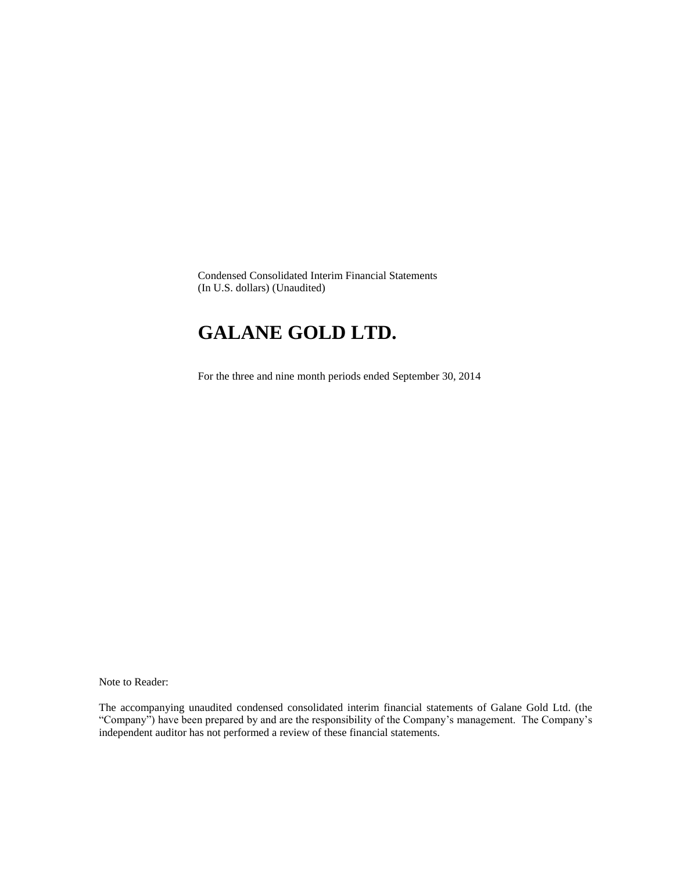Condensed Consolidated Interim Financial Statements (In U.S. dollars) (Unaudited)

# **GALANE GOLD LTD.**

For the three and nine month periods ended September 30, 2014

Note to Reader:

The accompanying unaudited condensed consolidated interim financial statements of Galane Gold Ltd. (the "Company") have been prepared by and are the responsibility of the Company's management. The Company's independent auditor has not performed a review of these financial statements.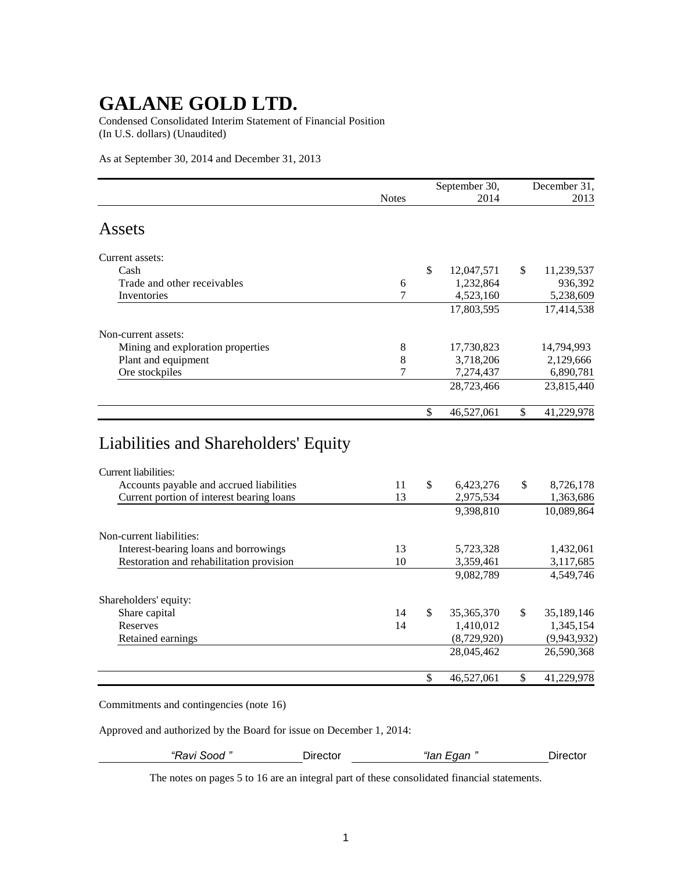Condensed Consolidated Interim Statement of Financial Position (In U.S. dollars) (Unaudited)

As at September 30, 2014 and December 31, 2013

|                                           |              |              | September 30, | December 31,     |
|-------------------------------------------|--------------|--------------|---------------|------------------|
|                                           | <b>Notes</b> |              | 2014          | 2013             |
| Assets                                    |              |              |               |                  |
| Current assets:                           |              |              |               |                  |
| Cash                                      |              | \$           | 12,047,571    | \$<br>11,239,537 |
| Trade and other receivables               | 6            |              | 1,232,864     | 936,392          |
| Inventories                               | 7            |              | 4,523,160     | 5,238,609        |
|                                           |              |              | 17,803,595    | 17,414,538       |
| Non-current assets:                       |              |              |               |                  |
| Mining and exploration properties         | 8            |              | 17,730,823    | 14,794,993       |
| Plant and equipment                       | 8            |              | 3,718,206     | 2,129,666        |
| Ore stockpiles                            | 7            |              | 7,274,437     | 6,890,781        |
|                                           |              |              | 28,723,466    | 23,815,440       |
|                                           |              | \$           | 46,527,061    | \$<br>41,229,978 |
| Liabilities and Shareholders' Equity      |              |              |               |                  |
| Current liabilities:                      |              |              |               |                  |
| Accounts payable and accrued liabilities  | 11           | $\mathbb{S}$ | 6,423,276     | \$<br>8,726,178  |
| Current portion of interest bearing loans | 13           |              | 2,975,534     | 1,363,686        |
|                                           |              |              | 9,398,810     | 10,089,864       |
| Non-current liabilities:                  |              |              |               |                  |
| Interest-bearing loans and borrowings     | 13           |              | 5,723,328     | 1,432,061        |
| Restoration and rehabilitation provision  | 10           |              | 3,359,461     | 3,117,685        |
|                                           |              |              | 9,082,789     | 4,549,746        |

| Shareholders' equity: |    |              |                  |
|-----------------------|----|--------------|------------------|
| Share capital         | 14 | 35, 365, 370 | \$<br>35,189,146 |
| Reserves              | 14 | 1,410,012    | 1,345,154        |
| Retained earnings     |    | (8,729,920)  | (9,943,932)      |
|                       |    | 28,045,462   | 26,590,368       |
|                       |    | 46,527,061   | 41,229,978       |

Commitments and contingencies (note 16)

Approved and authorized by the Board for issue on December 1, 2014:

*"Ravi Sood "* Director *"Ian Egan "* Director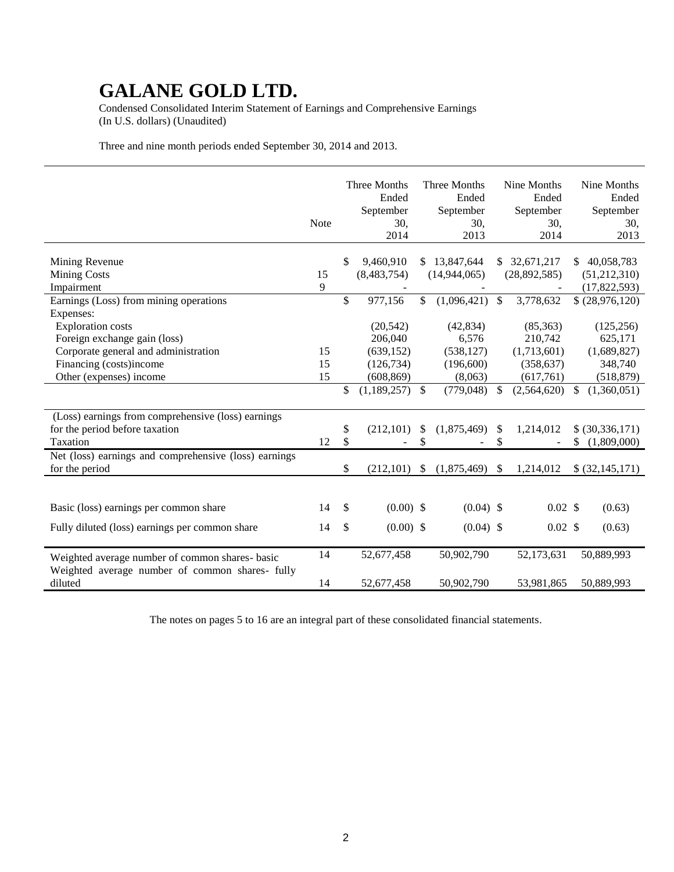Condensed Consolidated Interim Statement of Earnings and Comprehensive Earnings (In U.S. dollars) (Unaudited)

Three and nine month periods ended September 30, 2014 and 2013.

|                                                       | Note | Three Months<br>Ended<br>September<br>30,<br>2014 | Three Months<br>Ended<br>September<br>30,<br>2013 |               | Nine Months<br>Ended<br>September<br>30,<br>2014 | Nine Months<br>Ended<br>September<br>30,<br>2013 |
|-------------------------------------------------------|------|---------------------------------------------------|---------------------------------------------------|---------------|--------------------------------------------------|--------------------------------------------------|
| Mining Revenue                                        |      | \$<br>9,460,910                                   | \$<br>13,847,644                                  |               | \$32,671,217                                     | \$<br>40,058,783                                 |
| <b>Mining Costs</b>                                   | 15   | (8,483,754)                                       | (14, 944, 065)                                    |               | (28, 892, 585)                                   | (51,212,310)                                     |
| Impairment                                            | 9    |                                                   |                                                   |               |                                                  | (17,822,593)                                     |
| Earnings (Loss) from mining operations                |      | \$<br>977,156                                     | \$<br>(1,096,421)                                 | $\mathbb{S}$  | 3,778,632                                        | \$ (28,976,120)                                  |
| Expenses:                                             |      |                                                   |                                                   |               |                                                  |                                                  |
| <b>Exploration</b> costs                              |      | (20, 542)                                         | (42, 834)                                         |               | (85, 363)                                        | (125, 256)                                       |
| Foreign exchange gain (loss)                          |      | 206,040                                           | 6,576                                             |               | 210,742                                          | 625,171                                          |
| Corporate general and administration                  | 15   | (639, 152)                                        | (538, 127)                                        |               | (1,713,601)                                      | (1,689,827)                                      |
| Financing (costs)income                               | 15   | (126, 734)                                        | (196,600)                                         |               | (358, 637)                                       | 348,740                                          |
| Other (expenses) income                               | 15   | (608, 869)                                        | (8,063)                                           |               | (617,761)                                        | (518, 879)                                       |
|                                                       |      | \$<br>(1,189,257)                                 | \$<br>(779, 048)                                  | \$            | (2,564,620)                                      | \$<br>(1,360,051)                                |
| (Loss) earnings from comprehensive (loss) earnings    |      |                                                   |                                                   |               |                                                  |                                                  |
| for the period before taxation                        |      | \$<br>(212, 101)                                  | \$<br>(1,875,469)                                 | $\mathcal{S}$ | 1,214,012                                        | \$ (30,336,171)                                  |
| Taxation                                              | 12   | \$                                                | \$                                                | \$            |                                                  | \$<br>(1,809,000)                                |
| Net (loss) earnings and comprehensive (loss) earnings |      |                                                   |                                                   |               |                                                  |                                                  |
| for the period                                        |      | \$<br>(212, 101)                                  | \$<br>(1,875,469)                                 | $\mathcal{S}$ | 1,214,012                                        | \$ (32,145,171)                                  |
|                                                       |      |                                                   |                                                   |               |                                                  |                                                  |
| Basic (loss) earnings per common share                | 14   | \$<br>$(0.00)$ \$                                 | $(0.04)$ \$                                       |               | $0.02$ \$                                        | (0.63)                                           |
| Fully diluted (loss) earnings per common share        | 14   | \$<br>$(0.00)$ \$                                 | $(0.04)$ \$                                       |               | $0.02 \text{ }$ \$                               | (0.63)                                           |
| Weighted average number of common shares- basic       | 14   | 52,677,458                                        | 50,902,790                                        |               | 52,173,631                                       | 50,889,993                                       |
| Weighted average number of common shares- fully       |      |                                                   |                                                   |               |                                                  |                                                  |
| diluted                                               | 14   | 52,677,458                                        | 50,902,790                                        |               | 53,981,865                                       | 50,889,993                                       |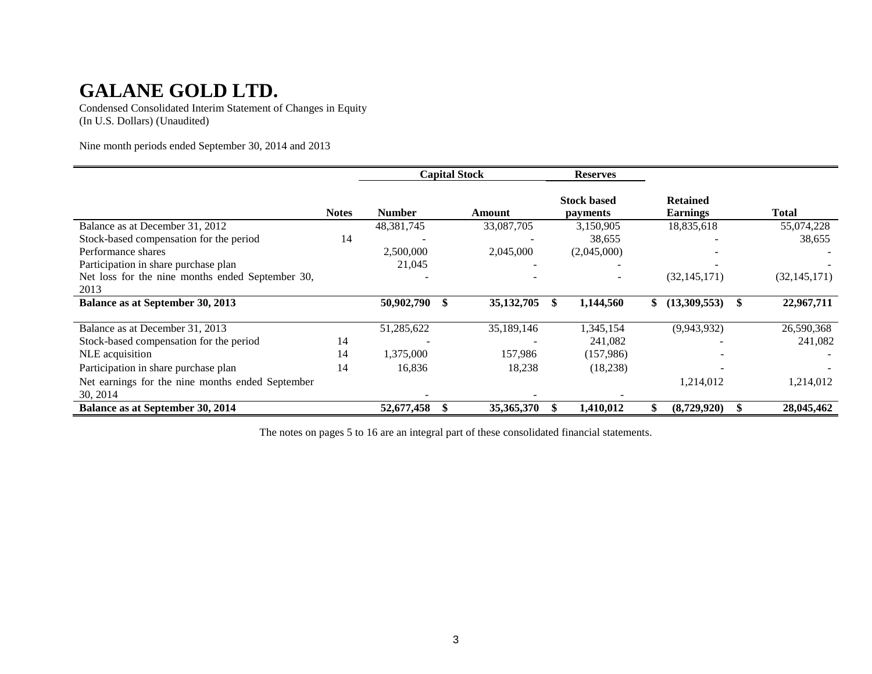Condensed Consolidated Interim Statement of Changes in Equity (In U.S. Dollars) (Unaudited)

Nine month periods ended September 30, 2014 and 2013

|                                                              |              | <b>Capital Stock</b> |  | <b>Reserves</b> |                                       |                                    |                |
|--------------------------------------------------------------|--------------|----------------------|--|-----------------|---------------------------------------|------------------------------------|----------------|
|                                                              | <b>Notes</b> | <b>Number</b>        |  | Amount          | <b>Stock based</b><br><i>payments</i> | <b>Retained</b><br><b>Earnings</b> | <b>Total</b>   |
| Balance as at December 31, 2012                              |              | 48, 381, 745         |  | 33,087,705      | 3,150,905                             | 18,835,618                         | 55,074,228     |
| Stock-based compensation for the period                      | 14           |                      |  |                 | 38,655                                |                                    | 38,655         |
| Performance shares                                           |              | 2,500,000            |  | 2,045,000       | (2,045,000)                           |                                    |                |
| Participation in share purchase plan                         |              | 21,045               |  |                 |                                       |                                    |                |
| Net loss for the nine months ended September 30,             |              |                      |  |                 |                                       | (32, 145, 171)                     | (32, 145, 171) |
| 2013                                                         |              |                      |  |                 |                                       |                                    |                |
| Balance as at September 30, 2013                             |              | 50,902,790           |  | 35, 132, 705    | 1,144,560                             | \$<br>(13,309,553)                 | 22,967,711     |
| Balance as at December 31, 2013                              |              | 51,285,622           |  | 35,189,146      | 1,345,154                             | (9,943,932)                        | 26,590,368     |
| Stock-based compensation for the period                      | 14           |                      |  |                 | 241,082                               |                                    | 241,082        |
| NLE acquisition                                              | 14           | 1,375,000            |  | 157,986         | (157,986)                             |                                    |                |
| Participation in share purchase plan                         | 14           | 16,836               |  | 18,238          | (18, 238)                             |                                    |                |
| Net earnings for the nine months ended September<br>30, 2014 |              |                      |  |                 |                                       | 1,214,012                          | 1,214,012      |
| <b>Balance as at September 30, 2014</b>                      |              | 52,677,458           |  | 35,365,370      | 1,410,012                             | (8,729,920)                        | 28,045,462     |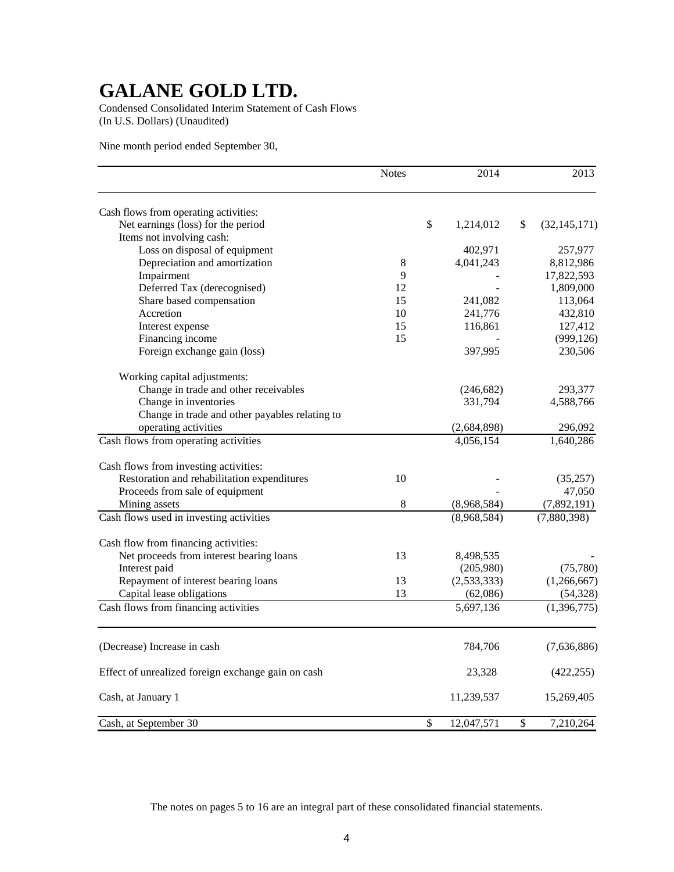Condensed Consolidated Interim Statement of Cash Flows (In U.S. Dollars) (Unaudited)

Nine month period ended September 30,

|                                                    | <b>Notes</b> |               | 2014        | 2013                 |
|----------------------------------------------------|--------------|---------------|-------------|----------------------|
| Cash flows from operating activities:              |              |               |             |                      |
| Net earnings (loss) for the period                 |              | $\mathcal{S}$ | 1,214,012   | \$<br>(32, 145, 171) |
| Items not involving cash:                          |              |               |             |                      |
| Loss on disposal of equipment                      |              |               | 402,971     | 257,977              |
| Depreciation and amortization                      | $\,8\,$      |               | 4,041,243   | 8,812,986            |
| Impairment                                         | 9            |               |             | 17,822,593           |
| Deferred Tax (derecognised)                        | 12           |               |             | 1,809,000            |
| Share based compensation                           | 15           |               | 241,082     | 113,064              |
| Accretion                                          | 10           |               | 241,776     | 432,810              |
| Interest expense                                   | 15           |               | 116,861     | 127,412              |
| Financing income                                   | 15           |               |             | (999, 126)           |
| Foreign exchange gain (loss)                       |              |               | 397,995     | 230,506              |
| Working capital adjustments:                       |              |               |             |                      |
| Change in trade and other receivables              |              |               | (246, 682)  | 293,377              |
| Change in inventories                              |              |               | 331,794     | 4,588,766            |
| Change in trade and other payables relating to     |              |               |             |                      |
| operating activities                               |              |               | (2,684,898) | 296,092              |
| Cash flows from operating activities               |              |               | 4,056,154   | 1,640,286            |
| Cash flows from investing activities:              |              |               |             |                      |
| Restoration and rehabilitation expenditures        | 10           |               |             | (35,257)             |
| Proceeds from sale of equipment                    |              |               |             | 47,050               |
| Mining assets                                      | 8            |               | (8,968,584) | (7,892,191)          |
| Cash flows used in investing activities            |              |               | (8,968,584) | (7,880,398)          |
| Cash flow from financing activities:               |              |               |             |                      |
| Net proceeds from interest bearing loans           | 13           |               | 8,498,535   |                      |
| Interest paid                                      |              |               | (205,980)   | (75, 780)            |
| Repayment of interest bearing loans                | 13           |               | (2,533,333) | (1,266,667)          |
| Capital lease obligations                          | 13           |               | (62,086)    | (54, 328)            |
| Cash flows from financing activities               |              |               | 5,697,136   | (1,396,775)          |
|                                                    |              |               |             |                      |
| (Decrease) Increase in cash                        |              |               | 784,706     | (7,636,886)          |
| Effect of unrealized foreign exchange gain on cash |              |               | 23,328      | (422, 255)           |
| Cash, at January 1                                 |              |               | 11,239,537  | 15,269,405           |
| Cash, at September 30                              |              | \$            | 12,047,571  | \$<br>7,210,264      |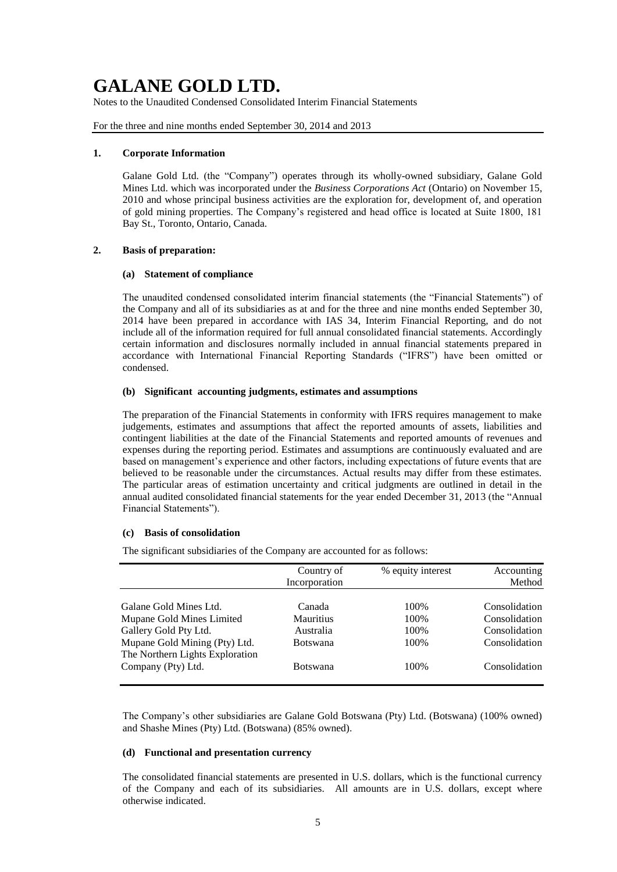Notes to the Unaudited Condensed Consolidated Interim Financial Statements

For the three and nine months ended September 30, 2014 and 2013

#### **1. Corporate Information**

Galane Gold Ltd. (the "Company") operates through its wholly-owned subsidiary, Galane Gold Mines Ltd. which was incorporated under the *Business Corporations Act* (Ontario) on November 15, 2010 and whose principal business activities are the exploration for, development of, and operation of gold mining properties. The Company's registered and head office is located at Suite 1800, 181 Bay St., Toronto, Ontario, Canada.

#### **2. Basis of preparation:**

#### **(a) Statement of compliance**

The unaudited condensed consolidated interim financial statements (the "Financial Statements") of the Company and all of its subsidiaries as at and for the three and nine months ended September 30, 2014 have been prepared in accordance with IAS 34, Interim Financial Reporting, and do not include all of the information required for full annual consolidated financial statements. Accordingly certain information and disclosures normally included in annual financial statements prepared in accordance with International Financial Reporting Standards ("IFRS") have been omitted or condensed.

## **(b) Significant accounting judgments, estimates and assumptions**

The preparation of the Financial Statements in conformity with IFRS requires management to make judgements, estimates and assumptions that affect the reported amounts of assets, liabilities and contingent liabilities at the date of the Financial Statements and reported amounts of revenues and expenses during the reporting period. Estimates and assumptions are continuously evaluated and are based on management's experience and other factors, including expectations of future events that are believed to be reasonable under the circumstances. Actual results may differ from these estimates. The particular areas of estimation uncertainty and critical judgments are outlined in detail in the annual audited consolidated financial statements for the year ended December 31, 2013 (the "Annual Financial Statements").

#### **(c) Basis of consolidation**

The significant subsidiaries of the Company are accounted for as follows:

|                                                                  | Country of<br>Incorporation | % equity interest | Accounting<br>Method |
|------------------------------------------------------------------|-----------------------------|-------------------|----------------------|
| Galane Gold Mines Ltd.                                           | Canada                      | 100\%             | Consolidation        |
| Mupane Gold Mines Limited                                        | <b>Mauritius</b>            | 100%              | Consolidation        |
| Gallery Gold Pty Ltd.                                            | Australia                   | 100\%             | Consolidation        |
| Mupane Gold Mining (Pty) Ltd.<br>The Northern Lights Exploration | <b>Botswana</b>             | 100\%             | Consolidation        |
| Company (Pty) Ltd.                                               | <b>Botswana</b>             | 100\%             | Consolidation        |

The Company's other subsidiaries are Galane Gold Botswana (Pty) Ltd. (Botswana) (100% owned) and Shashe Mines (Pty) Ltd. (Botswana) (85% owned).

## **(d) Functional and presentation currency**

The consolidated financial statements are presented in U.S. dollars, which is the functional currency of the Company and each of its subsidiaries. All amounts are in U.S. dollars, except where otherwise indicated.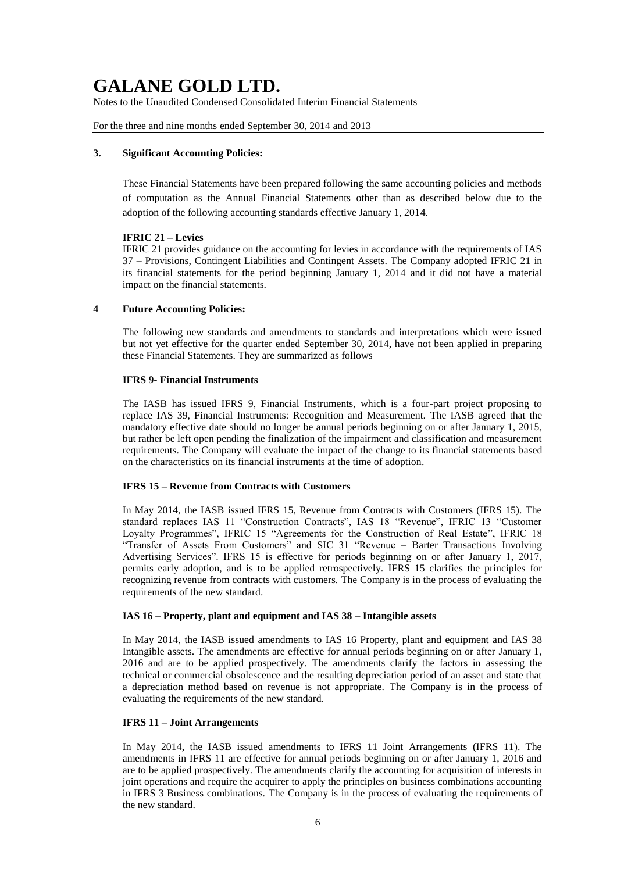Notes to the Unaudited Condensed Consolidated Interim Financial Statements

For the three and nine months ended September 30, 2014 and 2013

### **3. Significant Accounting Policies:**

These Financial Statements have been prepared following the same accounting policies and methods of computation as the Annual Financial Statements other than as described below due to the adoption of the following accounting standards effective January 1, 2014.

### **IFRIC 21 – Levies**

IFRIC 21 provides guidance on the accounting for levies in accordance with the requirements of IAS 37 – Provisions, Contingent Liabilities and Contingent Assets. The Company adopted IFRIC 21 in its financial statements for the period beginning January 1, 2014 and it did not have a material impact on the financial statements.

### **4 Future Accounting Policies:**

The following new standards and amendments to standards and interpretations which were issued but not yet effective for the quarter ended September 30, 2014, have not been applied in preparing these Financial Statements. They are summarized as follows

### **IFRS 9- Financial Instruments**

The IASB has issued IFRS 9, Financial Instruments, which is a four-part project proposing to replace IAS 39, Financial Instruments: Recognition and Measurement. The IASB agreed that the mandatory effective date should no longer be annual periods beginning on or after January 1, 2015, but rather be left open pending the finalization of the impairment and classification and measurement requirements. The Company will evaluate the impact of the change to its financial statements based on the characteristics on its financial instruments at the time of adoption.

## **IFRS 15 – Revenue from Contracts with Customers**

In May 2014, the IASB issued IFRS 15, Revenue from Contracts with Customers (IFRS 15). The standard replaces IAS 11 "Construction Contracts", IAS 18 "Revenue", IFRIC 13 "Customer Loyalty Programmes", IFRIC 15 "Agreements for the Construction of Real Estate", IFRIC 18 "Transfer of Assets From Customers" and SIC 31 "Revenue – Barter Transactions Involving Advertising Services". IFRS 15 is effective for periods beginning on or after January 1, 2017, permits early adoption, and is to be applied retrospectively. IFRS 15 clarifies the principles for recognizing revenue from contracts with customers. The Company is in the process of evaluating the requirements of the new standard.

## **IAS 16 – Property, plant and equipment and IAS 38 – Intangible assets**

In May 2014, the IASB issued amendments to IAS 16 Property, plant and equipment and IAS 38 Intangible assets. The amendments are effective for annual periods beginning on or after January 1, 2016 and are to be applied prospectively. The amendments clarify the factors in assessing the technical or commercial obsolescence and the resulting depreciation period of an asset and state that a depreciation method based on revenue is not appropriate. The Company is in the process of evaluating the requirements of the new standard.

#### **IFRS 11 – Joint Arrangements**

In May 2014, the IASB issued amendments to IFRS 11 Joint Arrangements (IFRS 11). The amendments in IFRS 11 are effective for annual periods beginning on or after January 1, 2016 and are to be applied prospectively. The amendments clarify the accounting for acquisition of interests in joint operations and require the acquirer to apply the principles on business combinations accounting in IFRS 3 Business combinations. The Company is in the process of evaluating the requirements of the new standard.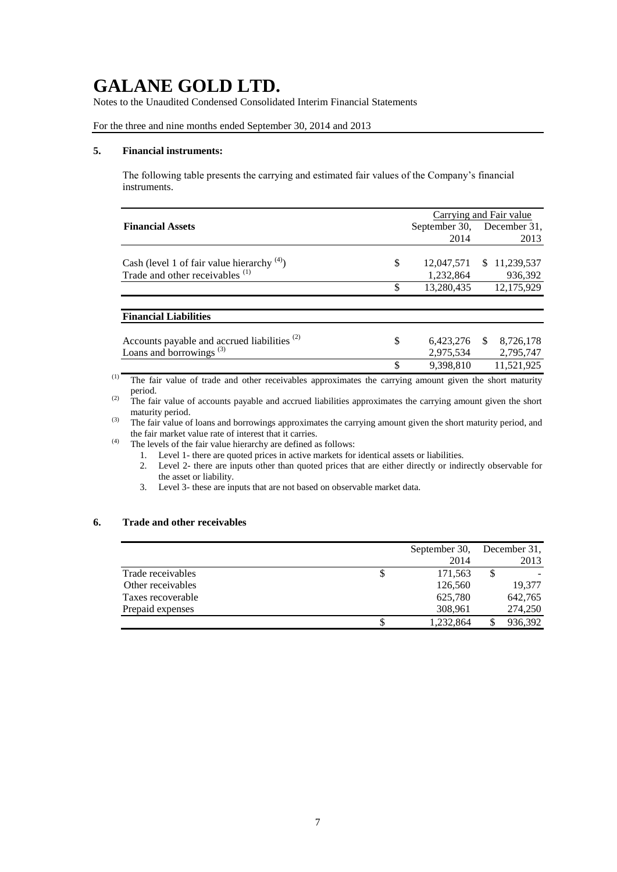Notes to the Unaudited Condensed Consolidated Interim Financial Statements

## For the three and nine months ended September 30, 2014 and 2013

### **5. Financial instruments:**

The following table presents the carrying and estimated fair values of the Company's financial instruments.

|                  | Carrying and Fair value |              |  |  |  |
|------------------|-------------------------|--------------|--|--|--|
| September 30,    |                         | December 31, |  |  |  |
| 2014             |                         | 2013         |  |  |  |
|                  |                         |              |  |  |  |
|                  | SS.                     | 11,239,537   |  |  |  |
| 1,232,864        |                         | 936,392      |  |  |  |
| \$<br>13,280,435 |                         | 12.175.929   |  |  |  |
|                  |                         |              |  |  |  |
|                  |                         |              |  |  |  |
|                  |                         |              |  |  |  |
|                  |                         | 8,726,178    |  |  |  |
|                  |                         | 2,795,747    |  |  |  |
| \$<br>9,398,810  |                         | 11,521,925   |  |  |  |
| \$<br>\$         | 12,047,571<br>2,975,534 | 6,423,276 \$ |  |  |  |

(1) The fair value of trade and other receivables approximates the carrying amount given the short maturity period.

<sup>(2)</sup> The fair value of accounts payable and accrued liabilities approximates the carrying amount given the short maturity period.

(3) The fair value of loans and borrowings approximates the carrying amount given the short maturity period, and the fair market value rate of interest that it carries.

(4) The levels of the fair value hierarchy are defined as follows:

- 1. Level 1- there are quoted prices in active markets for identical assets or liabilities.
- 2. Level 2- there are inputs other than quoted prices that are either directly or indirectly observable for the asset or liability.
- 3. Level 3- these are inputs that are not based on observable market data.

## **6. Trade and other receivables**

|                   | September 30, | December 31, |
|-------------------|---------------|--------------|
|                   | 2014          | 2013         |
| Trade receivables | \$<br>171,563 | \$           |
| Other receivables | 126,560       | 19.377       |
| Taxes recoverable | 625,780       | 642,765      |
| Prepaid expenses  | 308,961       | 274,250      |
|                   | 1,232,864     | 936,392      |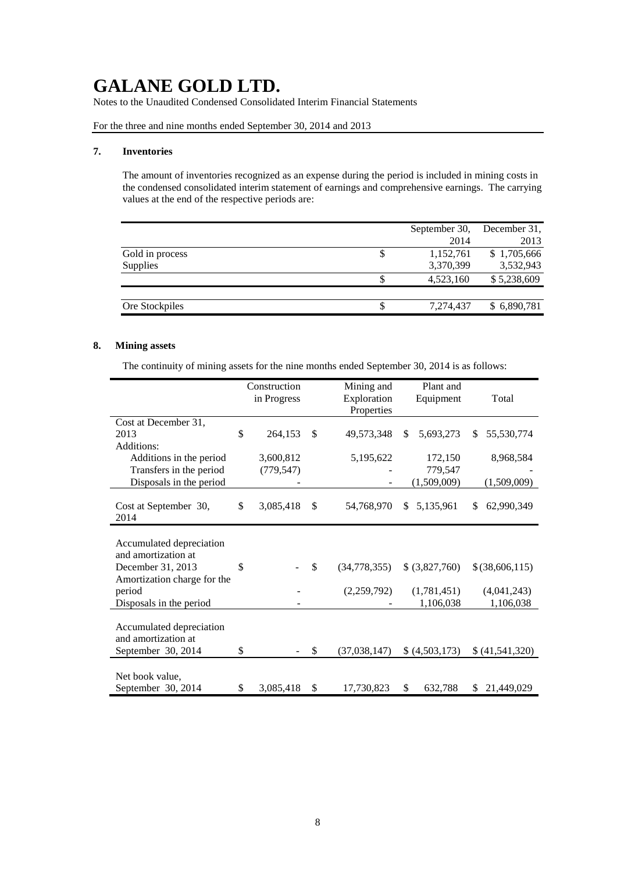Notes to the Unaudited Condensed Consolidated Interim Financial Statements

For the three and nine months ended September 30, 2014 and 2013

#### **7. Inventories**

The amount of inventories recognized as an expense during the period is included in mining costs in the condensed consolidated interim statement of earnings and comprehensive earnings. The carrying values at the end of the respective periods are:

|                 |    | September 30, | December 31, |
|-----------------|----|---------------|--------------|
|                 |    | 2014          | 2013         |
| Gold in process | \$ | 1,152,761     | \$1,705,666  |
| Supplies        |    | 3,370,399     | 3,532,943    |
|                 |    | 4,523,160     | \$5,238,609  |
|                 |    |               |              |
| Ore Stockpiles  | S  | 7,274,437     | \$6,890,781  |
|                 |    |               |              |

## **8. Mining assets**

The continuity of mining assets for the nine months ended September 30, 2014 is as follows:

|                             | Construction<br>in Progress |    | Mining and<br>Exploration | Plant and<br>Equipment | Total            |
|-----------------------------|-----------------------------|----|---------------------------|------------------------|------------------|
|                             |                             |    | Properties                |                        |                  |
| Cost at December 31,        |                             |    |                           |                        |                  |
| 2013                        | \$<br>264,153               | \$ | 49,573,348                | 5,693,273<br>\$        | 55,530,774<br>\$ |
| Additions:                  |                             |    |                           |                        |                  |
| Additions in the period     | 3,600,812                   |    | 5,195,622                 | 172,150                | 8,968,584        |
| Transfers in the period     | (779, 547)                  |    |                           | 779,547                |                  |
| Disposals in the period     |                             |    |                           | (1,509,009)            | (1,509,009)      |
|                             |                             |    |                           |                        |                  |
| Cost at September 30,       | \$<br>3,085,418             | \$ | 54,768,970                | 5,135,961<br>S.        | 62,990,349<br>\$ |
| 2014                        |                             |    |                           |                        |                  |
|                             |                             |    |                           |                        |                  |
| Accumulated depreciation    |                             |    |                           |                        |                  |
| and amortization at         |                             |    |                           |                        |                  |
| December 31, 2013           | \$                          | \$ | (34,778,355)              | \$ (3,827,760)         | $$$ (38,606,115) |
| Amortization charge for the |                             |    |                           |                        |                  |
| period                      |                             |    | (2,259,792)               | (1,781,451)            | (4,041,243)      |
| Disposals in the period     |                             |    |                           | 1,106,038              | 1,106,038        |
|                             |                             |    |                           |                        |                  |
| Accumulated depreciation    |                             |    |                           |                        |                  |
| and amortization at         |                             |    |                           |                        |                  |
|                             |                             |    |                           |                        |                  |
| September 30, 2014          | \$                          | S  | (37,038,147)              | (4,503,173)            | \$ (41,541,320)  |
|                             |                             |    |                           |                        |                  |
| Net book value,             |                             |    |                           |                        |                  |
| September 30, 2014          | \$<br>3,085,418             | \$ | 17,730,823                | \$<br>632,788          | \$<br>21,449,029 |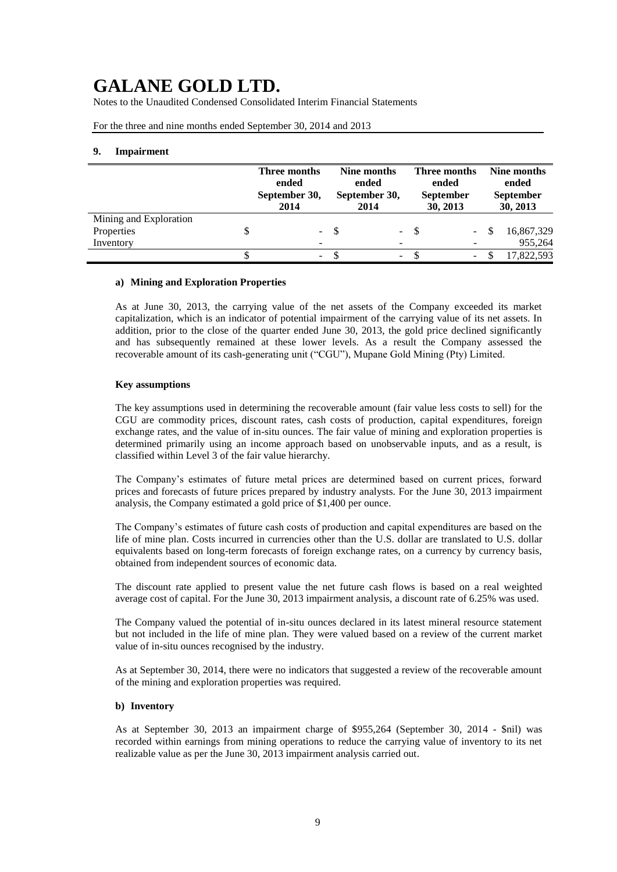Notes to the Unaudited Condensed Consolidated Interim Financial Statements

For the three and nine months ended September 30, 2014 and 2013

#### **9. Impairment**

|                        | Three months<br>ended<br>September 30,<br>2014 | Nine months<br>ended<br>September 30,<br>2014 |        | Three months<br>ended<br><b>September</b><br>30, 2013 |  |    | Nine months<br>ended<br><b>September</b><br>30, 2013 |  |  |
|------------------------|------------------------------------------------|-----------------------------------------------|--------|-------------------------------------------------------|--|----|------------------------------------------------------|--|--|
| Mining and Exploration |                                                |                                               |        |                                                       |  |    |                                                      |  |  |
| Properties             | $\sim$                                         |                                               | $\sim$ | -S                                                    |  | -S | 16,867,329                                           |  |  |
| Inventory              |                                                |                                               |        |                                                       |  |    | 955,264                                              |  |  |
|                        | $\overline{\phantom{0}}$                       |                                               | ٠.     |                                                       |  |    | 17,822,593                                           |  |  |

#### **a) Mining and Exploration Properties**

As at June 30, 2013, the carrying value of the net assets of the Company exceeded its market capitalization, which is an indicator of potential impairment of the carrying value of its net assets. In addition, prior to the close of the quarter ended June 30, 2013, the gold price declined significantly and has subsequently remained at these lower levels. As a result the Company assessed the recoverable amount of its cash-generating unit ("CGU"), Mupane Gold Mining (Pty) Limited.

#### **Key assumptions**

The key assumptions used in determining the recoverable amount (fair value less costs to sell) for the CGU are commodity prices, discount rates, cash costs of production, capital expenditures, foreign exchange rates, and the value of in-situ ounces. The fair value of mining and exploration properties is determined primarily using an income approach based on unobservable inputs, and as a result, is classified within Level 3 of the fair value hierarchy.

The Company's estimates of future metal prices are determined based on current prices, forward prices and forecasts of future prices prepared by industry analysts. For the June 30, 2013 impairment analysis, the Company estimated a gold price of \$1,400 per ounce.

The Company's estimates of future cash costs of production and capital expenditures are based on the life of mine plan. Costs incurred in currencies other than the U.S. dollar are translated to U.S. dollar equivalents based on long-term forecasts of foreign exchange rates, on a currency by currency basis, obtained from independent sources of economic data.

The discount rate applied to present value the net future cash flows is based on a real weighted average cost of capital. For the June 30, 2013 impairment analysis, a discount rate of 6.25% was used.

The Company valued the potential of in-situ ounces declared in its latest mineral resource statement but not included in the life of mine plan. They were valued based on a review of the current market value of in-situ ounces recognised by the industry.

As at September 30, 2014, there were no indicators that suggested a review of the recoverable amount of the mining and exploration properties was required.

#### **b) Inventory**

As at September 30, 2013 an impairment charge of \$955,264 (September 30, 2014 - \$nil) was recorded within earnings from mining operations to reduce the carrying value of inventory to its net realizable value as per the June 30, 2013 impairment analysis carried out.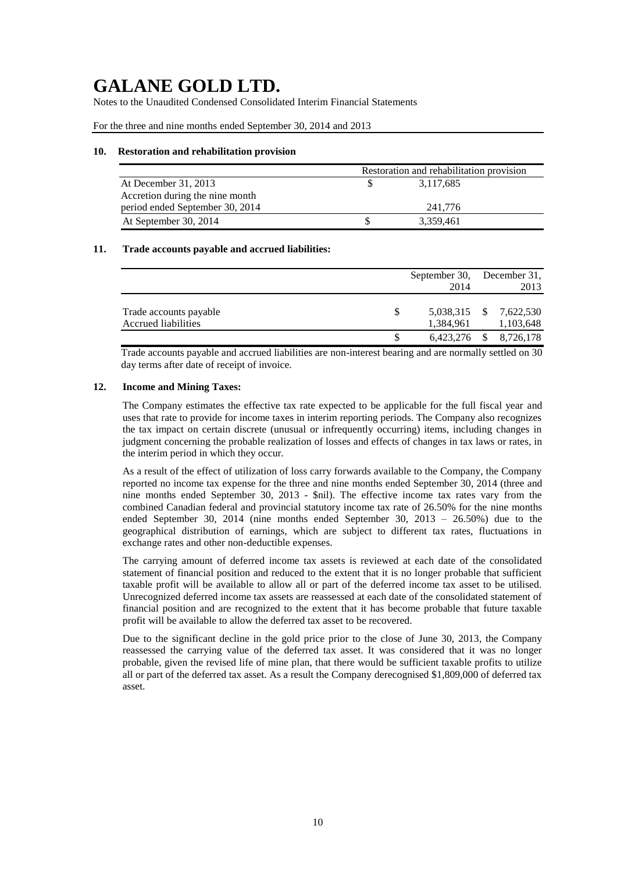Notes to the Unaudited Condensed Consolidated Interim Financial Statements

For the three and nine months ended September 30, 2014 and 2013

### **10. Restoration and rehabilitation provision**

|                                 | Restoration and rehabilitation provision |
|---------------------------------|------------------------------------------|
| At December 31, 2013            | 3,117,685                                |
| Accretion during the nine month |                                          |
| period ended September 30, 2014 | 241.776                                  |
| At September 30, 2014           | 3.359,461                                |

### **11. Trade accounts payable and accrued liabilities:**

|                                               | September 30, December 31,<br>2014 | 2013                                |
|-----------------------------------------------|------------------------------------|-------------------------------------|
| Trade accounts payable<br>Accrued liabilities | 1,384,961                          | 5,038,315 \$ 7,622,530<br>1,103,648 |
|                                               | $6,423,276$ \$                     | 8,726,178                           |

Trade accounts payable and accrued liabilities are non-interest bearing and are normally settled on 30 day terms after date of receipt of invoice.

### **12. Income and Mining Taxes:**

The Company estimates the effective tax rate expected to be applicable for the full fiscal year and uses that rate to provide for income taxes in interim reporting periods. The Company also recognizes the tax impact on certain discrete (unusual or infrequently occurring) items, including changes in judgment concerning the probable realization of losses and effects of changes in tax laws or rates, in the interim period in which they occur.

As a result of the effect of utilization of loss carry forwards available to the Company, the Company reported no income tax expense for the three and nine months ended September 30, 2014 (three and nine months ended September 30, 2013 - \$nil). The effective income tax rates vary from the combined Canadian federal and provincial statutory income tax rate of 26.50% for the nine months ended September 30, 2014 (nine months ended September 30, 2013 – 26.50%) due to the geographical distribution of earnings, which are subject to different tax rates, fluctuations in exchange rates and other non-deductible expenses.

The carrying amount of deferred income tax assets is reviewed at each date of the consolidated statement of financial position and reduced to the extent that it is no longer probable that sufficient taxable profit will be available to allow all or part of the deferred income tax asset to be utilised. Unrecognized deferred income tax assets are reassessed at each date of the consolidated statement of financial position and are recognized to the extent that it has become probable that future taxable profit will be available to allow the deferred tax asset to be recovered.

Due to the significant decline in the gold price prior to the close of June 30, 2013, the Company reassessed the carrying value of the deferred tax asset. It was considered that it was no longer probable, given the revised life of mine plan, that there would be sufficient taxable profits to utilize all or part of the deferred tax asset. As a result the Company derecognised \$1,809,000 of deferred tax asset.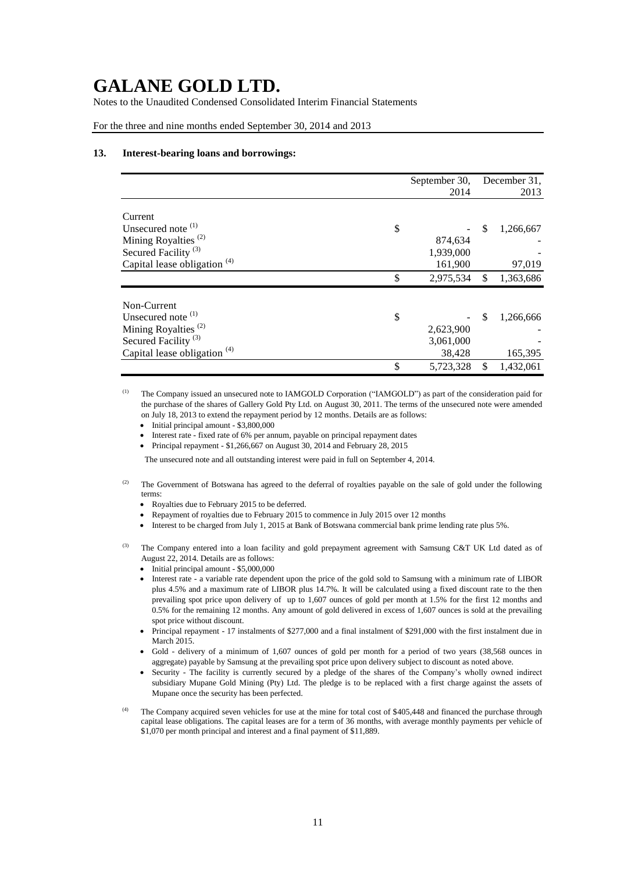Notes to the Unaudited Condensed Consolidated Interim Financial Statements

#### For the three and nine months ended September 30, 2014 and 2013

#### **13. Interest-bearing loans and borrowings:**

|                                         | September 30,   |    | December 31, |
|-----------------------------------------|-----------------|----|--------------|
|                                         | 2014            |    | 2013         |
|                                         |                 |    |              |
| Current                                 |                 |    |              |
| Unsecured note $(1)$                    | \$              | \$ | 1,266,667    |
| Mining Royalties <sup>(2)</sup>         | 874,634         |    |              |
| Secured Facility <sup>(3)</sup>         | 1,939,000       |    |              |
| Capital lease obligation <sup>(4)</sup> | 161,900         |    | 97,019       |
|                                         | \$<br>2,975,534 | \$ | 1,363,686    |
|                                         |                 |    |              |
| Non-Current                             |                 |    |              |
| Unsecured note <sup>(1)</sup>           | \$              | S  | 1,266,666    |
| Mining Royalties <sup>(2)</sup>         | 2,623,900       |    |              |
| Secured Facility <sup>(3)</sup>         | 3,061,000       |    |              |
| Capital lease obligation <sup>(4)</sup> | 38,428          |    | 165,395      |
|                                         | \$<br>5,723,328 | \$ | 1,432,061    |

(1) The Company issued an unsecured note to IAMGOLD Corporation ("IAMGOLD") as part of the consideration paid for the purchase of the shares of Gallery Gold Pty Ltd. on August 30, 2011. The terms of the unsecured note were amended on July 18, 2013 to extend the repayment period by 12 months. Details are as follows:

- Initial principal amount \$3,800,000
- Interest rate fixed rate of 6% per annum, payable on principal repayment dates
- Principal repayment \$1,266,667 on August 30, 2014 and February 28, 2015

The unsecured note and all outstanding interest were paid in full on September 4, 2014.

- <sup>(2)</sup> The Government of Botswana has agreed to the deferral of royalties payable on the sale of gold under the following terms:
	- Royalties due to February 2015 to be deferred.
	- Repayment of royalties due to February 2015 to commence in July 2015 over 12 months
	- Interest to be charged from July 1, 2015 at Bank of Botswana commercial bank prime lending rate plus 5%.

The Company entered into a loan facility and gold prepayment agreement with Samsung C&T UK Ltd dated as of August 22, 2014. Details are as follows:

- Initial principal amount \$5,000,000
- Interest rate a variable rate dependent upon the price of the gold sold to Samsung with a minimum rate of LIBOR plus 4.5% and a maximum rate of LIBOR plus 14.7%. It will be calculated using a fixed discount rate to the then prevailing spot price upon delivery of up to 1,607 ounces of gold per month at 1.5% for the first 12 months and 0.5% for the remaining 12 months. Any amount of gold delivered in excess of 1,607 ounces is sold at the prevailing spot price without discount.
- Principal repayment 17 instalments of \$277,000 and a final instalment of \$291,000 with the first instalment due in March 2015.
- Gold delivery of a minimum of 1,607 ounces of gold per month for a period of two years (38,568 ounces in aggregate) payable by Samsung at the prevailing spot price upon delivery subject to discount as noted above.
- Security The facility is currently secured by a pledge of the shares of the Company's wholly owned indirect subsidiary Mupane Gold Mining (Pty) Ltd. The pledge is to be replaced with a first charge against the assets of Mupane once the security has been perfected.
- (4) The Company acquired seven vehicles for use at the mine for total cost of \$405,448 and financed the purchase through capital lease obligations. The capital leases are for a term of 36 months, with average monthly payments per vehicle of \$1,070 per month principal and interest and a final payment of \$11,889.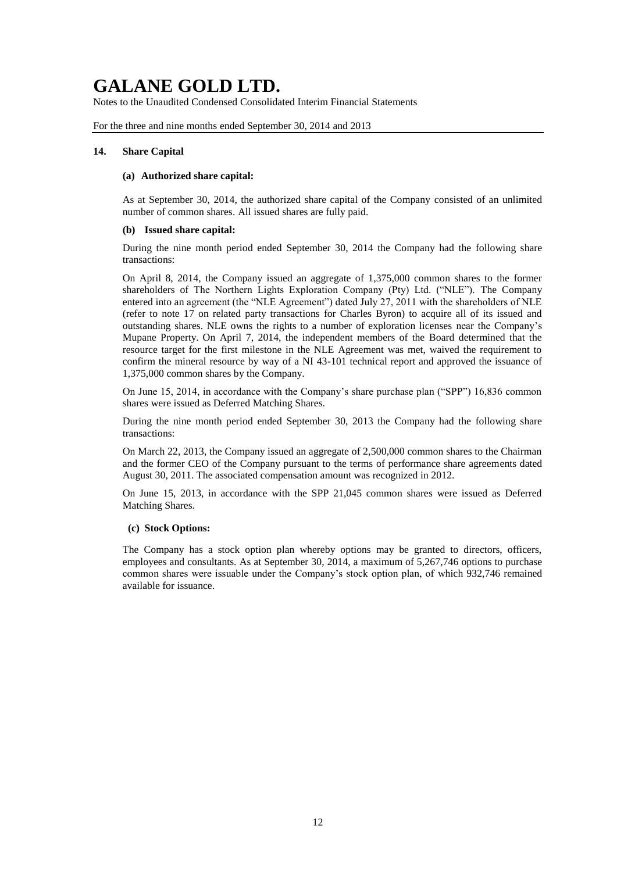Notes to the Unaudited Condensed Consolidated Interim Financial Statements

For the three and nine months ended September 30, 2014 and 2013

### **14. Share Capital**

#### **(a) Authorized share capital:**

As at September 30, 2014, the authorized share capital of the Company consisted of an unlimited number of common shares. All issued shares are fully paid.

#### **(b) Issued share capital:**

During the nine month period ended September 30, 2014 the Company had the following share transactions:

On April 8, 2014, the Company issued an aggregate of 1,375,000 common shares to the former shareholders of The Northern Lights Exploration Company (Pty) Ltd. ("NLE"). The Company entered into an agreement (the "NLE Agreement") dated July 27, 2011 with the shareholders of NLE (refer to note 17 on related party transactions for Charles Byron) to acquire all of its issued and outstanding shares. NLE owns the rights to a number of exploration licenses near the Company's Mupane Property. On April 7, 2014, the independent members of the Board determined that the resource target for the first milestone in the NLE Agreement was met, waived the requirement to confirm the mineral resource by way of a NI 43-101 technical report and approved the issuance of 1,375,000 common shares by the Company.

On June 15, 2014, in accordance with the Company's share purchase plan ("SPP") 16,836 common shares were issued as Deferred Matching Shares.

During the nine month period ended September 30, 2013 the Company had the following share transactions:

On March 22, 2013, the Company issued an aggregate of 2,500,000 common shares to the Chairman and the former CEO of the Company pursuant to the terms of performance share agreements dated August 30, 2011. The associated compensation amount was recognized in 2012.

On June 15, 2013, in accordance with the SPP 21,045 common shares were issued as Deferred Matching Shares.

### **(c) Stock Options:**

The Company has a stock option plan whereby options may be granted to directors, officers, employees and consultants. As at September 30, 2014, a maximum of 5,267,746 options to purchase common shares were issuable under the Company's stock option plan, of which 932,746 remained available for issuance.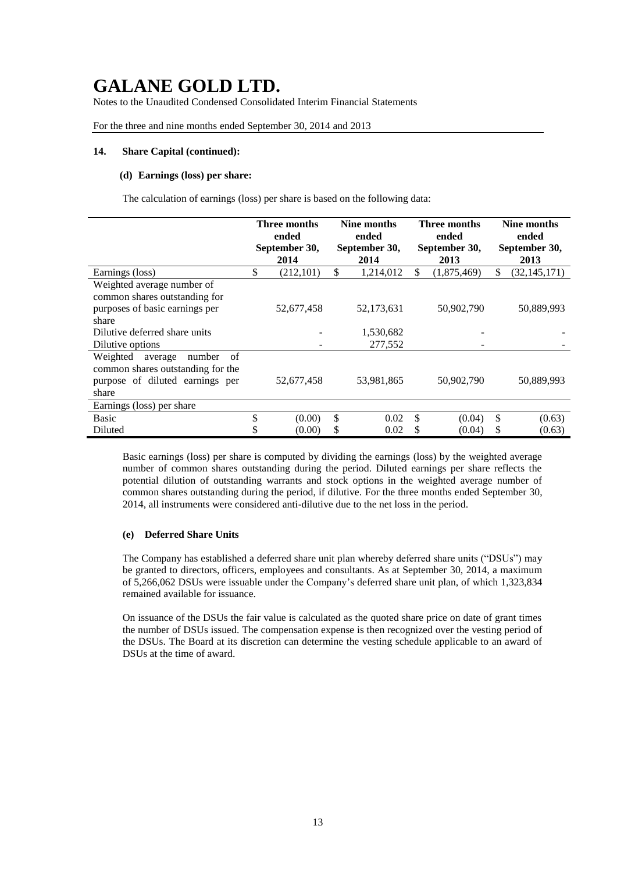Notes to the Unaudited Condensed Consolidated Interim Financial Statements

For the three and nine months ended September 30, 2014 and 2013

#### **14. Share Capital (continued):**

### **(d) Earnings (loss) per share:**

The calculation of earnings (loss) per share is based on the following data:

|                                                | <b>Three months</b><br>ended | Nine months<br>ended |    | <b>Three months</b><br>ended | Nine months<br>ended |
|------------------------------------------------|------------------------------|----------------------|----|------------------------------|----------------------|
|                                                | September 30,                | September 30,        |    | September 30,                | September 30,        |
|                                                | 2014                         | 2014                 |    | 2013                         | 2013                 |
| Earnings (loss)                                | \$<br>(212, 101)             | \$<br>1,214,012      | \$ | (1,875,469)                  | \$<br>(32, 145, 171) |
| Weighted average number of                     |                              |                      |    |                              |                      |
| common shares outstanding for                  |                              |                      |    |                              |                      |
| purposes of basic earnings per                 | 52,677,458                   | 52,173,631           |    | 50,902,790                   | 50,889,993           |
| share                                          |                              |                      |    |                              |                      |
| Dilutive deferred share units                  |                              | 1,530,682            |    |                              |                      |
| Dilutive options                               |                              | 277,552              |    |                              |                      |
| Weighted<br>number<br>average<br><sub>of</sub> |                              |                      |    |                              |                      |
| common shares outstanding for the              |                              |                      |    |                              |                      |
| purpose of diluted earnings per                | 52,677,458                   | 53,981,865           |    | 50,902,790                   | 50,889,993           |
| share                                          |                              |                      |    |                              |                      |
| Earnings (loss) per share                      |                              |                      |    |                              |                      |
| <b>Basic</b>                                   | \$<br>(0.00)                 | \$<br>0.02           | \$ | (0.04)                       | \$<br>(0.63)         |
| Diluted                                        | (0.00)                       | \$<br>0.02           | S  | (0.04)                       | \$<br>(0.63)         |

Basic earnings (loss) per share is computed by dividing the earnings (loss) by the weighted average number of common shares outstanding during the period. Diluted earnings per share reflects the potential dilution of outstanding warrants and stock options in the weighted average number of common shares outstanding during the period, if dilutive. For the three months ended September 30, 2014, all instruments were considered anti-dilutive due to the net loss in the period.

#### **(e) Deferred Share Units**

The Company has established a deferred share unit plan whereby deferred share units ("DSUs") may be granted to directors, officers, employees and consultants. As at September 30, 2014, a maximum of 5,266,062 DSUs were issuable under the Company's deferred share unit plan, of which 1,323,834 remained available for issuance.

On issuance of the DSUs the fair value is calculated as the quoted share price on date of grant times the number of DSUs issued. The compensation expense is then recognized over the vesting period of the DSUs. The Board at its discretion can determine the vesting schedule applicable to an award of DSUs at the time of award.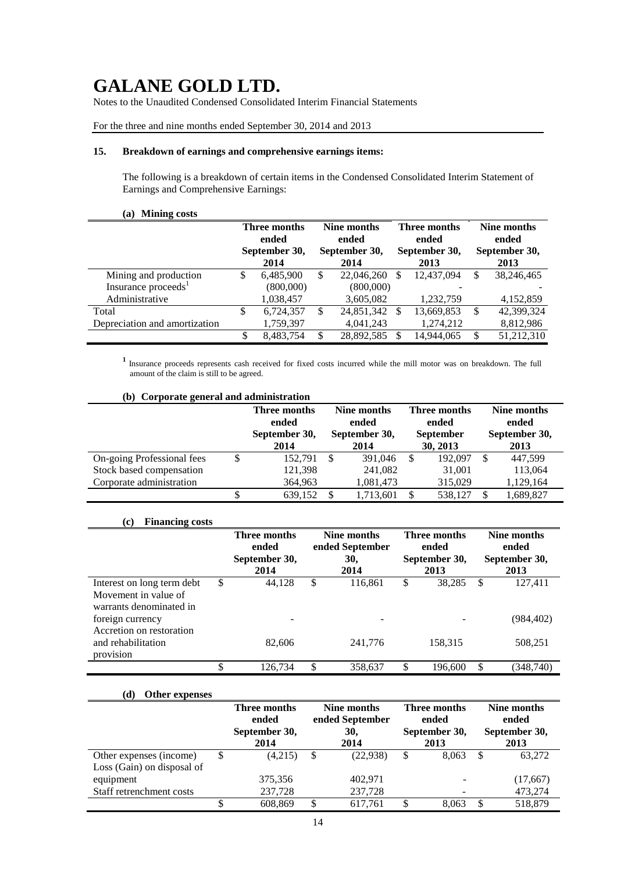Notes to the Unaudited Condensed Consolidated Interim Financial Statements

## For the three and nine months ended September 30, 2014 and 2013

## **15. Breakdown of earnings and comprehensive earnings items:**

The following is a breakdown of certain items in the Condensed Consolidated Interim Statement of Earnings and Comprehensive Earnings:

## **(a) Mining costs**

|                                 |   | Three months<br>ended<br>September 30,<br>2014 |    | Nine months<br>ended<br>September 30,<br>2014 |   | Three months<br>ended<br>September 30,<br>2013 |    | Nine months<br>ended<br>September 30,<br>2013 |  |
|---------------------------------|---|------------------------------------------------|----|-----------------------------------------------|---|------------------------------------------------|----|-----------------------------------------------|--|
| Mining and production           | S | 6.485.900                                      | S  | 22,046,260                                    | S | 12.437.094                                     | S  | 38.246.465                                    |  |
| Insurance proceeds <sup>1</sup> |   | (800,000)                                      |    | (800,000)                                     |   |                                                |    |                                               |  |
| Administrative                  |   | 1,038,457                                      |    | 3,605,082                                     |   | 1,232,759                                      |    | 4,152,859                                     |  |
| Total                           | S | 6,724,357                                      | S  | 24,851,342                                    | S | 13,669,853                                     | S  | 42,399,324                                    |  |
| Depreciation and amortization   |   | 1,759,397                                      |    | 4,041,243                                     |   | 1,274,212                                      |    | 8,812,986                                     |  |
|                                 |   | 8.483.754                                      | \$ | 28,892,585                                    | S | 14.944.065                                     | ۰D | 51,212,310                                    |  |

**<sup>1</sup>**Insurance proceeds represents cash received for fixed costs incurred while the mill motor was on breakdown. The full amount of the claim is still to be agreed.

| (b) Corporate general and administration |   |                                                |                                               |           |                                                       |         |                                               |           |  |  |  |
|------------------------------------------|---|------------------------------------------------|-----------------------------------------------|-----------|-------------------------------------------------------|---------|-----------------------------------------------|-----------|--|--|--|
|                                          |   | Three months<br>ended<br>September 30,<br>2014 | Nine months<br>ended<br>September 30,<br>2014 |           | Three months<br>ended<br><b>September</b><br>30, 2013 |         | Nine months<br>ended<br>September 30,<br>2013 |           |  |  |  |
| On-going Professional fees               | S | 152.791                                        | -\$                                           | 391,046   | -S                                                    | 192,097 | <b>S</b>                                      | 447.599   |  |  |  |
| Stock based compensation                 |   | 121,398                                        |                                               | 241,082   |                                                       | 31,001  |                                               | 113,064   |  |  |  |
| Corporate administration                 |   | 364,963                                        |                                               | 1,081,473 |                                                       | 315,029 |                                               | 1,129,164 |  |  |  |
|                                          |   | 639.152                                        |                                               | 1,713,601 |                                                       | 538.127 | £.                                            | 1,689,827 |  |  |  |

## **(c) Financing costs**

|                                                                               | Three months<br>ended<br>September 30,<br>2014 |    | Nine months<br>ended September<br>30,<br>2014 | Three months<br>ended<br>September 30,<br>2013 |         |               | Nine months<br>ended<br>September 30,<br>2013 |
|-------------------------------------------------------------------------------|------------------------------------------------|----|-----------------------------------------------|------------------------------------------------|---------|---------------|-----------------------------------------------|
| Interest on long term debt<br>Movement in value of<br>warrants denominated in | \$<br>44.128                                   | \$ | 116,861                                       | \$                                             | 38,285  | <sup>\$</sup> | 127,411                                       |
| foreign currency<br>Accretion on restoration                                  |                                                |    | -                                             |                                                |         |               | (984, 402)                                    |
| and rehabilitation<br>provision                                               | 82,606                                         |    | 241,776                                       |                                                | 158,315 |               | 508,251                                       |
|                                                                               | \$<br>126,734                                  | S  | 358,637                                       | \$                                             | 196,600 | \$            | (348, 740)                                    |

#### **(d) Other expenses**

|                                                       | Three months<br>Nine months<br>ended September<br>ended |    |             |    | <b>Three months</b><br>ended |    | Nine months<br>ended  |  |  |
|-------------------------------------------------------|---------------------------------------------------------|----|-------------|----|------------------------------|----|-----------------------|--|--|
|                                                       | September 30,<br>2014                                   |    | 30.<br>2014 |    | September 30,<br>2013        |    | September 30,<br>2013 |  |  |
| Other expenses (income)<br>Loss (Gain) on disposal of | (4,215)                                                 | \$ | (22, 938)   | \$ | 8.063                        | \$ | 63.272                |  |  |
| equipment                                             | 375,356                                                 |    | 402.971     |    |                              |    | (17,667)              |  |  |
| Staff retrenchment costs                              | 237,728                                                 |    | 237,728     |    |                              |    | 473,274               |  |  |
|                                                       | 608,869                                                 |    | 617.761     | \$ | 8.063                        |    | 518,879               |  |  |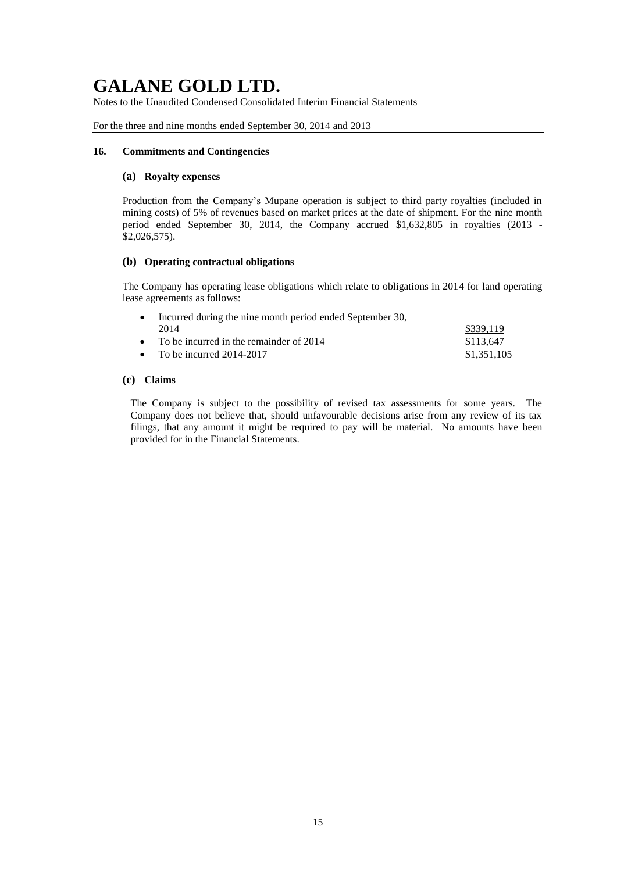Notes to the Unaudited Condensed Consolidated Interim Financial Statements

For the three and nine months ended September 30, 2014 and 2013

## **16. Commitments and Contingencies**

### **(a) Royalty expenses**

Production from the Company's Mupane operation is subject to third party royalties (included in mining costs) of 5% of revenues based on market prices at the date of shipment. For the nine month period ended September 30, 2014, the Company accrued \$1,632,805 in royalties (2013 - \$2,026,575).

### **(b) Operating contractual obligations**

The Company has operating lease obligations which relate to obligations in 2014 for land operating lease agreements as follows:

| • Incurred during the nine month period ended September 30, |             |
|-------------------------------------------------------------|-------------|
| 2014                                                        | \$339.119   |
| • To be incurred in the remainder of $2014$                 | \$113,647   |
| • To be incurred $2014-2017$                                | \$1,351,105 |

## **(c) Claims**

The Company is subject to the possibility of revised tax assessments for some years. The Company does not believe that, should unfavourable decisions arise from any review of its tax filings, that any amount it might be required to pay will be material. No amounts have been provided for in the Financial Statements.